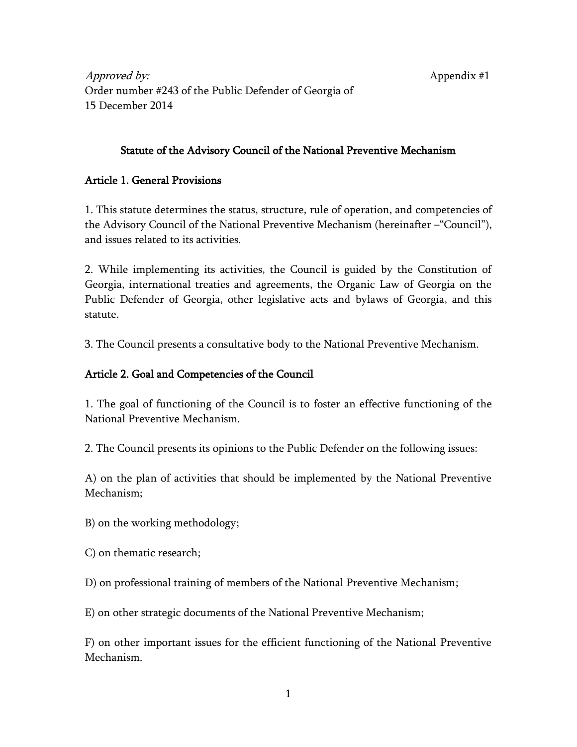Approved by: Appendix #1 Order number #243 of the Public Defender of Georgia of 15 December 2014

## Statute of the Advisory Council of the National Preventive Mechanism

#### Article 1. General Provisions

1. This statute determines the status, structure, rule of operation, and competencies of the Advisory Council of the National Preventive Mechanism (hereinafter –"Council"), and issues related to its activities.

2. While implementing its activities, the Council is guided by the Constitution of Georgia, international treaties and agreements, the Organic Law of Georgia on the Public Defender of Georgia, other legislative acts and bylaws of Georgia, and this statute.

3. The Council presents a consultative body to the National Preventive Mechanism.

## Article 2. Goal and Competencies of the Council

1. The goal of functioning of the Council is to foster an effective functioning of the National Preventive Mechanism.

2. The Council presents its opinions to the Public Defender on the following issues:

A) on the plan of activities that should be implemented by the National Preventive Mechanism;

B) on the working methodology;

C) on thematic research;

D) on professional training of members of the National Preventive Mechanism;

E) on other strategic documents of the National Preventive Mechanism;

F) on other important issues for the efficient functioning of the National Preventive Mechanism.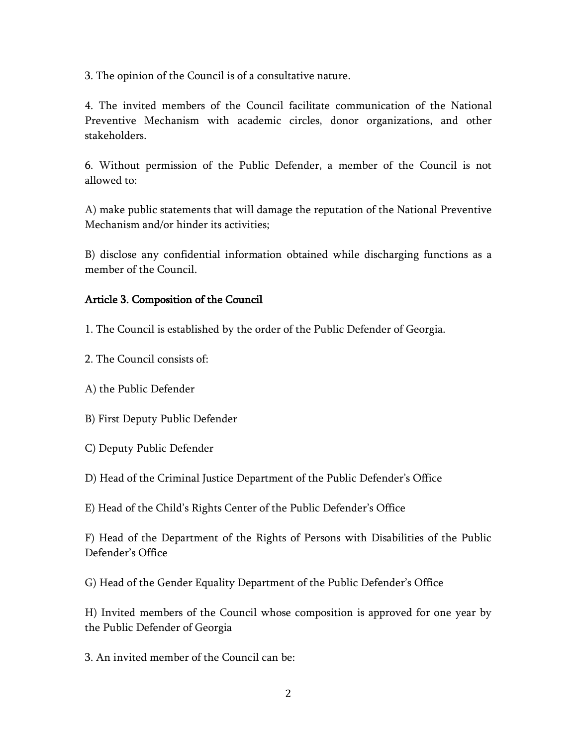3. The opinion of the Council is of a consultative nature.

4. The invited members of the Council facilitate communication of the National Preventive Mechanism with academic circles, donor organizations, and other stakeholders.

6. Without permission of the Public Defender, a member of the Council is not allowed to:

A) make public statements that will damage the reputation of the National Preventive Mechanism and/or hinder its activities;

B) disclose any confidential information obtained while discharging functions as a member of the Council.

#### Article 3. Composition of the Council

1. The Council is established by the order of the Public Defender of Georgia.

- 2. The Council consists of:
- A) the Public Defender
- B) First Deputy Public Defender
- C) Deputy Public Defender
- D) Head of the Criminal Justice Department of the Public Defender's Office
- E) Head of the Child's Rights Center of the Public Defender's Office

F) Head of the Department of the Rights of Persons with Disabilities of the Public Defender's Office

G) Head of the Gender Equality Department of the Public Defender's Office

H) Invited members of the Council whose composition is approved for one year by the Public Defender of Georgia

3. An invited member of the Council can be: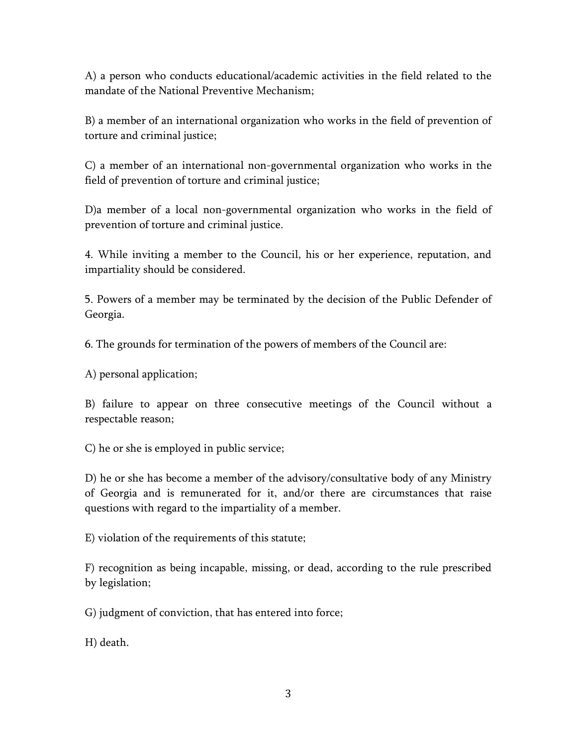A) a person who conducts educational/academic activities in the field related to the mandate of the National Preventive Mechanism;

B) a member of an international organization who works in the field of prevention of torture and criminal justice;

C) a member of an international non-governmental organization who works in the field of prevention of torture and criminal justice;

D)a member of a local non-governmental organization who works in the field of prevention of torture and criminal justice.

4. While inviting a member to the Council, his or her experience, reputation, and impartiality should be considered.

5. Powers of a member may be terminated by the decision of the Public Defender of Georgia.

6. The grounds for termination of the powers of members of the Council are:

A) personal application;

B) failure to appear on three consecutive meetings of the Council without a respectable reason;

C) he or she is employed in public service;

D) he or she has become a member of the advisory/consultative body of any Ministry of Georgia and is remunerated for it, and/or there are circumstances that raise questions with regard to the impartiality of a member.

E) violation of the requirements of this statute;

F) recognition as being incapable, missing, or dead, according to the rule prescribed by legislation;

G) judgment of conviction, that has entered into force;

H) death.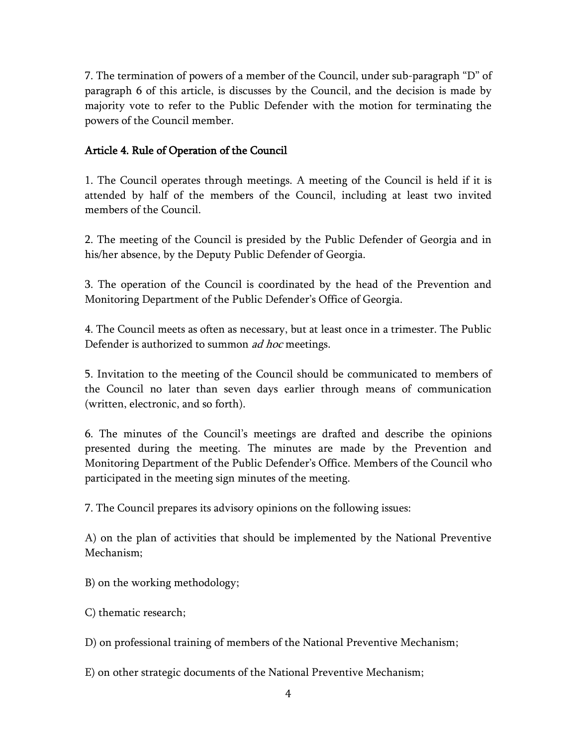7. The termination of powers of a member of the Council, under sub-paragraph "D" of paragraph 6 of this article, is discusses by the Council, and the decision is made by majority vote to refer to the Public Defender with the motion for terminating the powers of the Council member.

# Article 4. Rule of Operation of the Council

1. The Council operates through meetings. A meeting of the Council is held if it is attended by half of the members of the Council, including at least two invited members of the Council.

2. The meeting of the Council is presided by the Public Defender of Georgia and in his/her absence, by the Deputy Public Defender of Georgia.

3. The operation of the Council is coordinated by the head of the Prevention and Monitoring Department of the Public Defender's Office of Georgia.

4. The Council meets as often as necessary, but at least once in a trimester. The Public Defender is authorized to summon *ad hoc* meetings.

5. Invitation to the meeting of the Council should be communicated to members of the Council no later than seven days earlier through means of communication (written, electronic, and so forth).

6. The minutes of the Council's meetings are drafted and describe the opinions presented during the meeting. The minutes are made by the Prevention and Monitoring Department of the Public Defender's Office. Members of the Council who participated in the meeting sign minutes of the meeting.

7. The Council prepares its advisory opinions on the following issues:

A) on the plan of activities that should be implemented by the National Preventive Mechanism;

B) on the working methodology;

C) thematic research;

D) on professional training of members of the National Preventive Mechanism;

E) on other strategic documents of the National Preventive Mechanism;